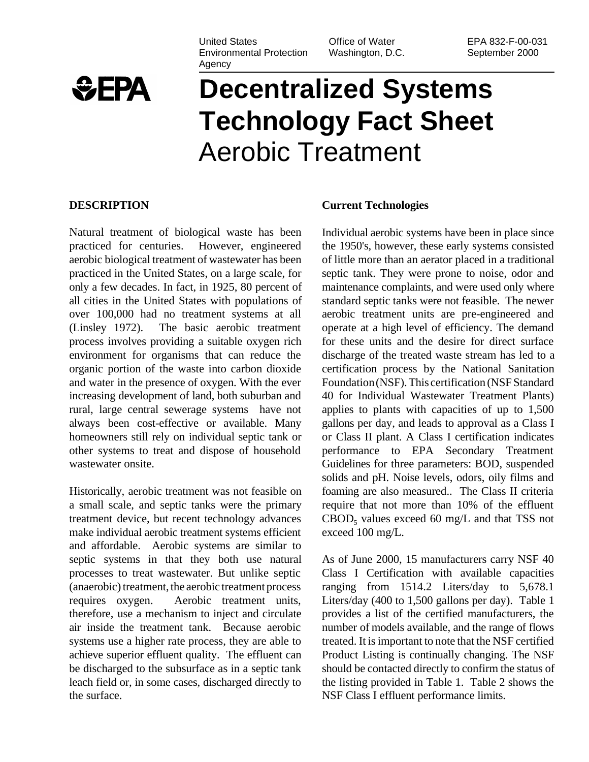United States Environmental Protection Agency

Office of Water Washington, D.C.

#### EPA 832-F-00-031 September 2000



# **Decentralized Systems Technology Fact Sheet** Aerobic Treatment

#### **DESCRIPTION**

Natural treatment of biological waste has been practiced for centuries. However, engineered aerobic biological treatment of wastewater has been practiced in the United States, on a large scale, for only a few decades. In fact, in 1925, 80 percent of all cities in the United States with populations of over 100,000 had no treatment systems at all (Linsley 1972). The basic aerobic treatment process involves providing a suitable oxygen rich environment for organisms that can reduce the organic portion of the waste into carbon dioxide and water in the presence of oxygen. With the ever increasing development of land, both suburban and rural, large central sewerage systems have not always been cost-effective or available. Many homeowners still rely on individual septic tank or other systems to treat and dispose of household wastewater onsite.

Historically, aerobic treatment was not feasible on a small scale, and septic tanks were the primary treatment device, but recent technology advances make individual aerobic treatment systems efficient and affordable. Aerobic systems are similar to septic systems in that they both use natural processes to treat wastewater. But unlike septic (anaerobic) treatment, the aerobic treatment process requires oxygen. Aerobic treatment units, therefore, use a mechanism to inject and circulate air inside the treatment tank. Because aerobic systems use a higher rate process, they are able to achieve superior effluent quality. The effluent can be discharged to the subsurface as in a septic tank leach field or, in some cases, discharged directly to the surface.

#### **Current Technologies**

Individual aerobic systems have been in place since the 1950's, however, these early systems consisted of little more than an aerator placed in a traditional septic tank. They were prone to noise, odor and maintenance complaints, and were used only where standard septic tanks were not feasible. The newer aerobic treatment units are pre-engineered and operate at a high level of efficiency. The demand for these units and the desire for direct surface discharge of the treated waste stream has led to a certification process by the National Sanitation Foundation (NSF). This certification (NSF Standard 40 for Individual Wastewater Treatment Plants) applies to plants with capacities of up to 1,500 gallons per day, and leads to approval as a Class I or Class II plant. A Class I certification indicates performance to EPA Secondary Treatment Guidelines for three parameters: BOD, suspended solids and pH. Noise levels, odors, oily films and foaming are also measured.. The Class II criteria require that not more than 10% of the effluent  $CBOD<sub>5</sub>$  values exceed 60 mg/L and that TSS not exceed 100 mg/L.

As of June 2000, 15 manufacturers carry NSF 40 Class I Certification with available capacities ranging from 1514.2 Liters/day to 5,678.1 Liters/day (400 to 1,500 gallons per day). Table 1 provides a list of the certified manufacturers, the number of models available, and the range of flows treated. It is important to note that the NSF certified Product Listing is continually changing. The NSF should be contacted directly to confirm the status of the listing provided in Table 1. Table 2 shows the NSF Class I effluent performance limits.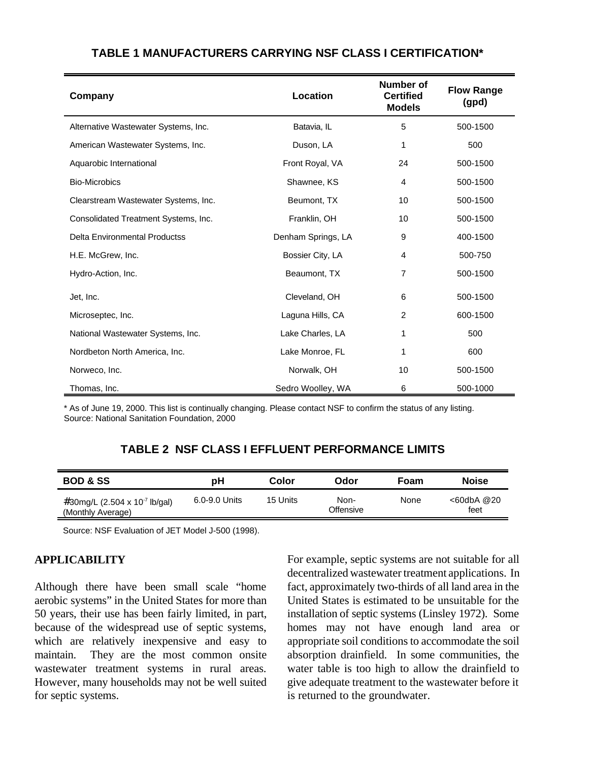| Company                              | Location           | Number of<br><b>Certified</b><br><b>Models</b> | <b>Flow Range</b><br>(gpd) |
|--------------------------------------|--------------------|------------------------------------------------|----------------------------|
| Alternative Wastewater Systems, Inc. | Batavia, IL        | 5                                              | 500-1500                   |
| American Wastewater Systems, Inc.    | Duson, LA          | 1                                              | 500                        |
| Aquarobic International              | Front Royal, VA    | 24                                             | 500-1500                   |
| <b>Bio-Microbics</b>                 | Shawnee, KS        | 4                                              | 500-1500                   |
| Clearstream Wastewater Systems, Inc. | Beumont, TX        | 10                                             | 500-1500                   |
| Consolidated Treatment Systems, Inc. | Franklin, OH       | 10                                             | 500-1500                   |
| <b>Delta Environmental Productss</b> | Denham Springs, LA | 9                                              | 400-1500                   |
| H.E. McGrew, Inc.                    | Bossier City, LA   | 4                                              | 500-750                    |
| Hydro-Action, Inc.                   | Beaumont, TX       | 7                                              | 500-1500                   |
| Jet, Inc.                            | Cleveland, OH      | 6                                              | 500-1500                   |
| Microseptec, Inc.                    | Laguna Hills, CA   | $\overline{c}$                                 | 600-1500                   |
| National Wastewater Systems, Inc.    | Lake Charles, LA   | 1                                              | 500                        |
| Nordbeton North America, Inc.        | Lake Monroe, FL    |                                                | 600                        |
| Norweco, Inc.                        | Norwalk, OH        | 10                                             | 500-1500                   |
| Thomas, Inc.                         | Sedro Woolley, WA  | 6                                              | 500-1000                   |

# **TABLE 1 MANUFACTURERS CARRYING NSF CLASS I CERTIFICATION\***

\* As of June 19, 2000. This list is continually changing. Please contact NSF to confirm the status of any listing. Source: National Sanitation Foundation, 2000

# **TABLE 2 NSF CLASS I EFFLUENT PERFORMANCE LIMITS**

| <b>BOD &amp; SS</b>                                            | рH            | Color    | Odor              | Foam | <b>Noise</b>       |
|----------------------------------------------------------------|---------------|----------|-------------------|------|--------------------|
| #30mg/L (2.504 x 10 <sup>-7</sup> lb/gal)<br>(Monthly Average) | 6.0-9.0 Units | 15 Units | Non-<br>Offensive | None | <60dbA @20<br>feet |

Source: NSF Evaluation of JET Model J-500 (1998).

#### **APPLICABILITY**

Although there have been small scale "home aerobic systems" in the United States for more than 50 years, their use has been fairly limited, in part, because of the widespread use of septic systems, which are relatively inexpensive and easy to maintain. They are the most common onsite wastewater treatment systems in rural areas. However, many households may not be well suited for septic systems.

For example, septic systems are not suitable for all decentralized wastewater treatment applications. In fact, approximately two-thirds of all land area in the United States is estimated to be unsuitable for the installation of septic systems (Linsley 1972). Some homes may not have enough land area or appropriate soil conditions to accommodate the soil absorption drainfield. In some communities, the water table is too high to allow the drainfield to give adequate treatment to the wastewater before it is returned to the groundwater.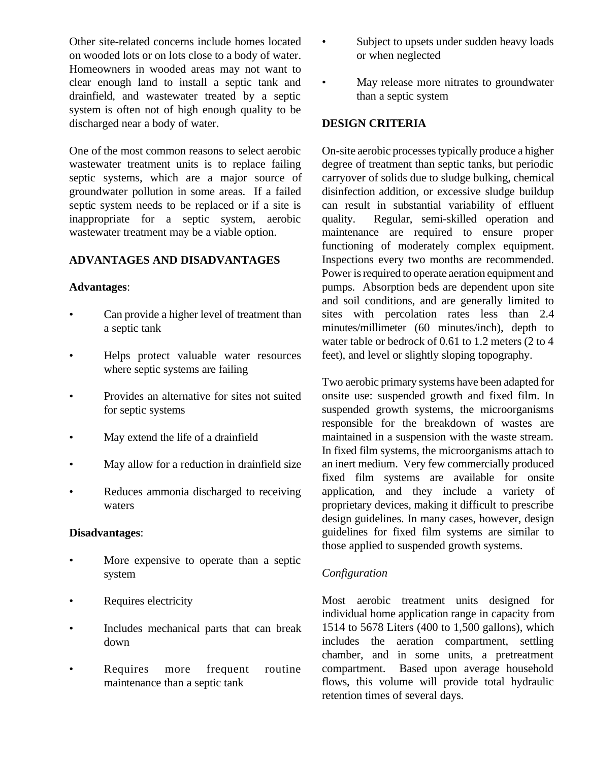Other site-related concerns include homes located on wooded lots or on lots close to a body of water. Homeowners in wooded areas may not want to clear enough land to install a septic tank and drainfield, and wastewater treated by a septic system is often not of high enough quality to be discharged near a body of water.

One of the most common reasons to select aerobic wastewater treatment units is to replace failing septic systems, which are a major source of groundwater pollution in some areas. If a failed septic system needs to be replaced or if a site is inappropriate for a septic system, aerobic wastewater treatment may be a viable option.

## **ADVANTAGES AND DISADVANTAGES**

## **Advantages**:

- Can provide a higher level of treatment than a septic tank
- Helps protect valuable water resources where septic systems are failing
- Provides an alternative for sites not suited for septic systems
- May extend the life of a drainfield
- May allow for a reduction in drainfield size
- Reduces ammonia discharged to receiving waters

## **Disadvantages**:

- More expensive to operate than a septic system
- Requires electricity
- Includes mechanical parts that can break down
- Requires more frequent routine maintenance than a septic tank
- Subject to upsets under sudden heavy loads or when neglected
- May release more nitrates to groundwater than a septic system

## **DESIGN CRITERIA**

On-site aerobic processes typically produce a higher degree of treatment than septic tanks, but periodic carryover of solids due to sludge bulking, chemical disinfection addition, or excessive sludge buildup can result in substantial variability of effluent quality. Regular, semi-skilled operation and maintenance are required to ensure proper functioning of moderately complex equipment. Inspections every two months are recommended. Power is required to operate aeration equipment and pumps. Absorption beds are dependent upon site and soil conditions, and are generally limited to sites with percolation rates less than 2.4 minutes/millimeter (60 minutes/inch), depth to water table or bedrock of 0.61 to 1.2 meters (2 to 4 feet), and level or slightly sloping topography.

Two aerobic primary systems have been adapted for onsite use: suspended growth and fixed film. In suspended growth systems, the microorganisms responsible for the breakdown of wastes are maintained in a suspension with the waste stream. In fixed film systems, the microorganisms attach to an inert medium. Very few commercially produced fixed film systems are available for onsite application, and they include a variety of proprietary devices, making it difficult to prescribe design guidelines. In many cases, however, design guidelines for fixed film systems are similar to those applied to suspended growth systems.

## *Configuration*

Most aerobic treatment units designed for individual home application range in capacity from 1514 to 5678 Liters (400 to 1,500 gallons), which includes the aeration compartment, settling chamber, and in some units, a pretreatment compartment. Based upon average household flows, this volume will provide total hydraulic retention times of several days.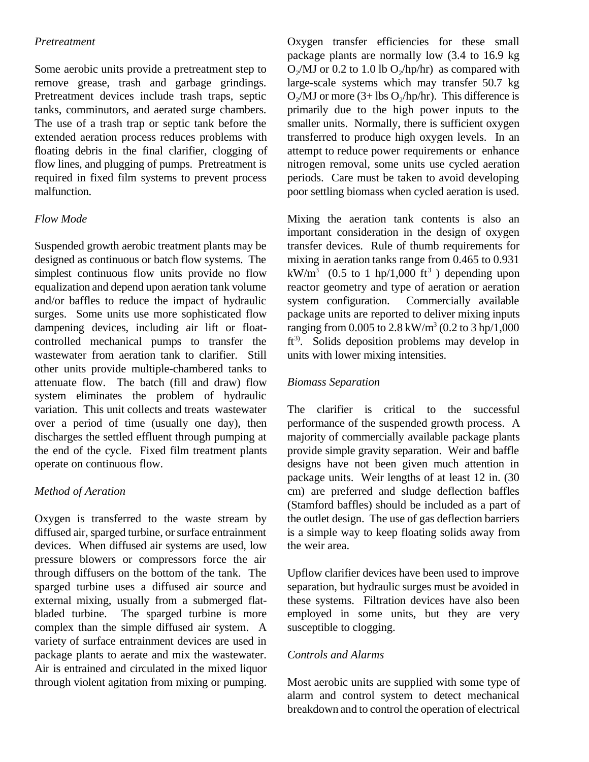## *Pretreatment*

Some aerobic units provide a pretreatment step to remove grease, trash and garbage grindings. Pretreatment devices include trash traps, septic tanks, comminutors, and aerated surge chambers. The use of a trash trap or septic tank before the extended aeration process reduces problems with floating debris in the final clarifier, clogging of flow lines, and plugging of pumps. Pretreatment is required in fixed film systems to prevent process malfunction.

## *Flow Mode*

Suspended growth aerobic treatment plants may be designed as continuous or batch flow systems. The simplest continuous flow units provide no flow equalization and depend upon aeration tank volume and/or baffles to reduce the impact of hydraulic surges. Some units use more sophisticated flow dampening devices, including air lift or floatcontrolled mechanical pumps to transfer the wastewater from aeration tank to clarifier. Still other units provide multiple-chambered tanks to attenuate flow. The batch (fill and draw) flow system eliminates the problem of hydraulic variation. This unit collects and treats wastewater over a period of time (usually one day), then discharges the settled effluent through pumping at the end of the cycle. Fixed film treatment plants operate on continuous flow.

## *Method of Aeration*

Oxygen is transferred to the waste stream by diffused air, sparged turbine, or surface entrainment devices. When diffused air systems are used, low pressure blowers or compressors force the air through diffusers on the bottom of the tank. The sparged turbine uses a diffused air source and external mixing, usually from a submerged flatbladed turbine. The sparged turbine is more complex than the simple diffused air system. A variety of surface entrainment devices are used in package plants to aerate and mix the wastewater. Air is entrained and circulated in the mixed liquor through violent agitation from mixing or pumping. Oxygen transfer efficiencies for these small package plants are normally low (3.4 to 16.9 kg  $O_2/MJ$  or 0.2 to 1.0 lb  $O_2/hp/hr$  as compared with large-scale systems which may transfer 50.7 kg  $O_2/MJ$  or more (3+ lbs  $O_2/hp/hr$ ). This difference is primarily due to the high power inputs to the smaller units. Normally, there is sufficient oxygen transferred to produce high oxygen levels. In an attempt to reduce power requirements or enhance nitrogen removal, some units use cycled aeration periods. Care must be taken to avoid developing poor settling biomass when cycled aeration is used.

Mixing the aeration tank contents is also an important consideration in the design of oxygen transfer devices. Rule of thumb requirements for mixing in aeration tanks range from 0.465 to 0.931 kW/m<sup>3</sup> (0.5 to 1 hp/1,000 ft<sup>3</sup>) depending upon reactor geometry and type of aeration or aeration system configuration. Commercially available package units are reported to deliver mixing inputs ranging from  $0.005$  to  $2.8 \text{ kW/m}^3$   $(0.2 \text{ to } 3 \text{ hp}/1,000$  $ft<sup>3</sup>$ . Solids deposition problems may develop in units with lower mixing intensities.

## *Biomass Separation*

The clarifier is critical to the successful performance of the suspended growth process. A majority of commercially available package plants provide simple gravity separation. Weir and baffle designs have not been given much attention in package units. Weir lengths of at least 12 in. (30 cm) are preferred and sludge deflection baffles (Stamford baffles) should be included as a part of the outlet design. The use of gas deflection barriers is a simple way to keep floating solids away from the weir area.

Upflow clarifier devices have been used to improve separation, but hydraulic surges must be avoided in these systems. Filtration devices have also been employed in some units, but they are very susceptible to clogging.

#### *Controls and Alarms*

Most aerobic units are supplied with some type of alarm and control system to detect mechanical breakdown and to control the operation of electrical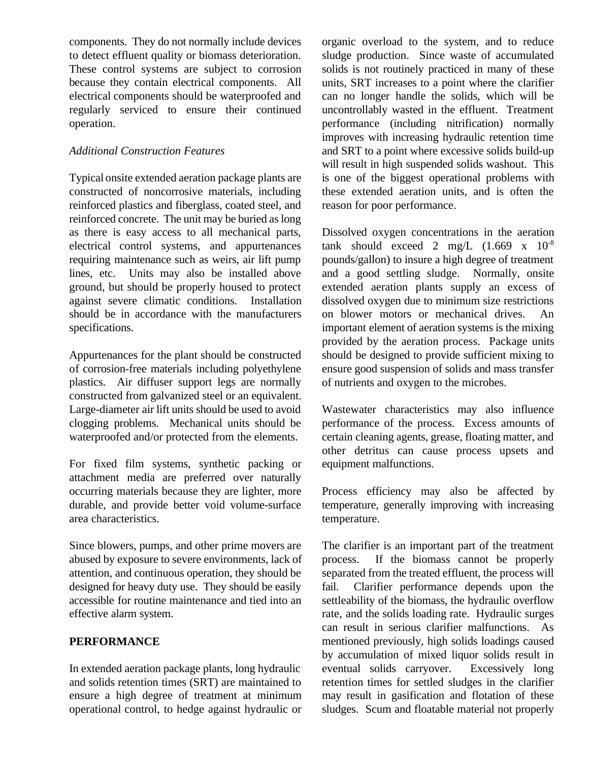components. They do not normally include devices to detect effluent quality or biomass deterioration. These control systems are subject to corrosion because they contain electrical components. All electrical components should be waterproofed and regularly serviced to ensure their continued operation.

## *Additional Construction Features*

Typical onsite extended aeration package plants are constructed of noncorrosive materials, including reinforced plastics and fiberglass, coated steel, and reinforced concrete. The unit may be buried as long as there is easy access to all mechanical parts, electrical control systems, and appurtenances requiring maintenance such as weirs, air lift pump lines, etc. Units may also be installed above ground, but should be properly housed to protect against severe climatic conditions. Installation should be in accordance with the manufacturers specifications.

Appurtenances for the plant should be constructed of corrosion-free materials including polyethylene plastics. Air diffuser support legs are normally constructed from galvanized steel or an equivalent. Large-diameter air lift units should be used to avoid clogging problems. Mechanical units should be waterproofed and/or protected from the elements.

For fixed film systems, synthetic packing or attachment media are preferred over naturally occurring materials because they are lighter, more durable, and provide better void volume-surface area characteristics.

Since blowers, pumps, and other prime movers are abused by exposure to severe environments, lack of attention, and continuous operation, they should be designed for heavy duty use. They should be easily accessible for routine maintenance and tied into an effective alarm system.

# **PERFORMANCE**

In extended aeration package plants, long hydraulic and solids retention times (SRT) are maintained to ensure a high degree of treatment at minimum operational control, to hedge against hydraulic or

organic overload to the system, and to reduce sludge production. Since waste of accumulated solids is not routinely practiced in many of these units, SRT increases to a point where the clarifier can no longer handle the solids, which will be uncontrollably wasted in the effluent. Treatment performance (including nitrification) normally improves with increasing hydraulic retention time and SRT to a point where excessive solids build-up will result in high suspended solids washout. This is one of the biggest operational problems with these extended aeration units, and is often the reason for poor performance.

Dissolved oxygen concentrations in the aeration tank should exceed 2 mg/L  $(1.669 \times 10^{-8})$ pounds/gallon) to insure a high degree of treatment and a good settling sludge. Normally, onsite extended aeration plants supply an excess of dissolved oxygen due to minimum size restrictions on blower motors or mechanical drives. An important element of aeration systems is the mixing provided by the aeration process. Package units should be designed to provide sufficient mixing to ensure good suspension of solids and mass transfer of nutrients and oxygen to the microbes.

Wastewater characteristics may also influence performance of the process. Excess amounts of certain cleaning agents, grease, floating matter, and other detritus can cause process upsets and equipment malfunctions.

Process efficiency may also be affected by temperature, generally improving with increasing temperature.

The clarifier is an important part of the treatment process. If the biomass cannot be properly separated from the treated effluent, the process will fail. Clarifier performance depends upon the settleability of the biomass, the hydraulic overflow rate, and the solids loading rate. Hydraulic surges can result in serious clarifier malfunctions. As mentioned previously, high solids loadings caused by accumulation of mixed liquor solids result in eventual solids carryover. Excessively long retention times for settled sludges in the clarifier may result in gasification and flotation of these sludges. Scum and floatable material not properly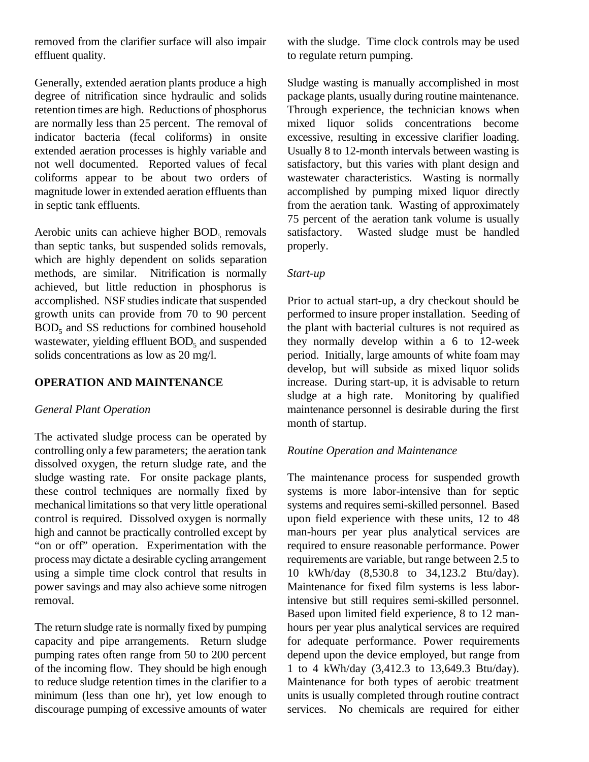removed from the clarifier surface will also impair effluent quality.

Generally, extended aeration plants produce a high degree of nitrification since hydraulic and solids retention times are high. Reductions of phosphorus are normally less than 25 percent. The removal of indicator bacteria (fecal coliforms) in onsite extended aeration processes is highly variable and not well documented. Reported values of fecal coliforms appear to be about two orders of magnitude lower in extended aeration effluents than in septic tank effluents.

Aerobic units can achieve higher  $BOD<sub>5</sub>$  removals than septic tanks, but suspended solids removals, which are highly dependent on solids separation methods, are similar. Nitrification is normally achieved, but little reduction in phosphorus is accomplished. NSF studies indicate that suspended growth units can provide from 70 to 90 percent  $BOD<sub>5</sub>$  and SS reductions for combined household wastewater, yielding effluent  $BOD<sub>5</sub>$  and suspended solids concentrations as low as 20 mg/l.

## **OPERATION AND MAINTENANCE**

#### *General Plant Operation*

The activated sludge process can be operated by controlling only a few parameters; the aeration tank dissolved oxygen, the return sludge rate, and the sludge wasting rate. For onsite package plants, these control techniques are normally fixed by mechanical limitations so that very little operational control is required. Dissolved oxygen is normally high and cannot be practically controlled except by "on or off" operation. Experimentation with the process may dictate a desirable cycling arrangement using a simple time clock control that results in power savings and may also achieve some nitrogen removal.

The return sludge rate is normally fixed by pumping capacity and pipe arrangements. Return sludge pumping rates often range from 50 to 200 percent of the incoming flow. They should be high enough to reduce sludge retention times in the clarifier to a minimum (less than one hr), yet low enough to discourage pumping of excessive amounts of water with the sludge. Time clock controls may be used to regulate return pumping.

Sludge wasting is manually accomplished in most package plants, usually during routine maintenance. Through experience, the technician knows when mixed liquor solids concentrations become excessive, resulting in excessive clarifier loading. Usually 8 to 12-month intervals between wasting is satisfactory, but this varies with plant design and wastewater characteristics. Wasting is normally accomplished by pumping mixed liquor directly from the aeration tank. Wasting of approximately 75 percent of the aeration tank volume is usually satisfactory. Wasted sludge must be handled properly.

## *Start-up*

Prior to actual start-up, a dry checkout should be performed to insure proper installation. Seeding of the plant with bacterial cultures is not required as they normally develop within a 6 to 12-week period. Initially, large amounts of white foam may develop, but will subside as mixed liquor solids increase. During start-up, it is advisable to return sludge at a high rate. Monitoring by qualified maintenance personnel is desirable during the first month of startup.

#### *Routine Operation and Maintenance*

The maintenance process for suspended growth systems is more labor-intensive than for septic systems and requires semi-skilled personnel. Based upon field experience with these units, 12 to 48 man-hours per year plus analytical services are required to ensure reasonable performance. Power requirements are variable, but range between 2.5 to 10 kWh/day (8,530.8 to 34,123.2 Btu/day). Maintenance for fixed film systems is less laborintensive but still requires semi-skilled personnel. Based upon limited field experience, 8 to 12 manhours per year plus analytical services are required for adequate performance. Power requirements depend upon the device employed, but range from 1 to 4 kWh/day (3,412.3 to 13,649.3 Btu/day). Maintenance for both types of aerobic treatment units is usually completed through routine contract services. No chemicals are required for either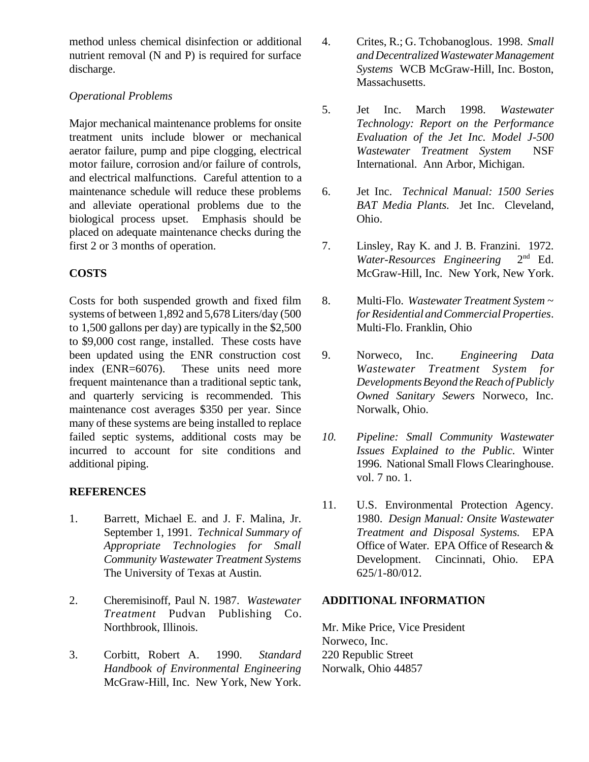method unless chemical disinfection or additional nutrient removal (N and P) is required for surface discharge.

# *Operational Problems*

Major mechanical maintenance problems for onsite treatment units include blower or mechanical aerator failure, pump and pipe clogging, electrical motor failure, corrosion and/or failure of controls, and electrical malfunctions. Careful attention to a maintenance schedule will reduce these problems and alleviate operational problems due to the biological process upset. Emphasis should be placed on adequate maintenance checks during the first 2 or 3 months of operation.

# **COSTS**

Costs for both suspended growth and fixed film systems of between 1,892 and 5,678 Liters/day (500 to 1,500 gallons per day) are typically in the \$2,500 to \$9,000 cost range, installed. These costs have been updated using the ENR construction cost index (ENR=6076). These units need more frequent maintenance than a traditional septic tank, and quarterly servicing is recommended. This maintenance cost averages \$350 per year. Since many of these systems are being installed to replace failed septic systems, additional costs may be incurred to account for site conditions and additional piping.

# **REFERENCES**

- 1. Barrett, Michael E. and J. F. Malina, Jr. September 1, 1991. *Technical Summary of Appropriate Technologies for Small Community Wastewater Treatment Systems* The University of Texas at Austin.
- 2. Cheremisinoff, Paul N. 1987. *Wastewater Treatment* Pudvan Publishing Co. Northbrook, Illinois.
- 3. Corbitt, Robert A. 1990. *Standard Handbook of Environmental Engineering* McGraw-Hill, Inc. New York, New York.
- 4. Crites, R.; G. Tchobanoglous. 1998. *Small and Decentralized Wastewater Management Systems* WCB McGraw-Hill, Inc. Boston, Massachusetts.
- 5. Jet Inc. March 1998. *Wastewater Technology: Report on the Performance Evaluation of the Jet Inc. Model J-500 Wastewater Treatment System* NSF International. Ann Arbor, Michigan.
- 6. Jet Inc. *Technical Manual: 1500 Series BAT Media Plants*. Jet Inc. Cleveland, Ohio.
- 7. Linsley, Ray K. and J. B. Franzini. 1972. *Water-Resources Engineering* 2nd Ed. McGraw-Hill, Inc. New York, New York.
- 8. Multi-Flo. *Wastewater Treatment System ~ for Residential and Commercial Properties*. Multi-Flo. Franklin, Ohio
- 9. Norweco, Inc. *Engineering Data Wastewater Treatment System for Developments Beyond the Reach of Publicly Owned Sanitary Sewers* Norweco, Inc. Norwalk, Ohio.
- *10. Pipeline: Small Community Wastewater Issues Explained to the Public.* Winter 1996. National Small Flows Clearinghouse. vol. 7 no. 1.
- 11. U.S. Environmental Protection Agency. 1980. *Design Manual: Onsite Wastewater Treatment and Disposal Systems.* EPA Office of Water. EPA Office of Research & Development. Cincinnati, Ohio. EPA 625/1-80/012.

## **ADDITIONAL INFORMATION**

Mr. Mike Price, Vice President Norweco, Inc. 220 Republic Street Norwalk, Ohio 44857